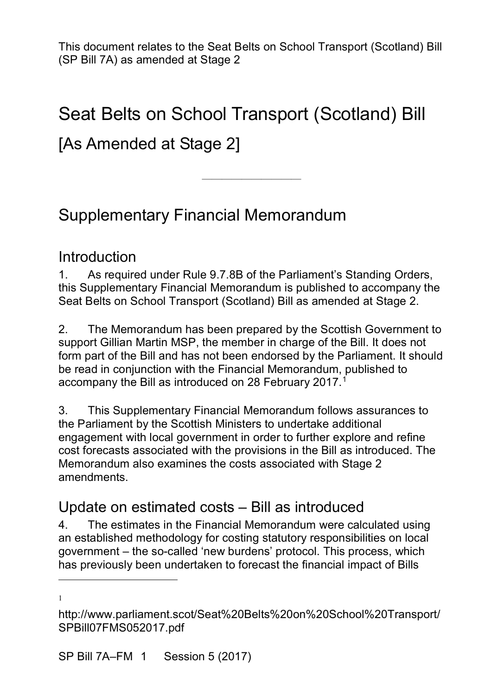# Seat Belts on School Transport (Scotland) Bill [As Amended at Stage 2]

————————————————————

## Supplementary Financial Memorandum

#### Introduction

1. As required under Rule 9.7.8B of the Parliament's Standing Orders, this Supplementary Financial Memorandum is published to accompany the Seat Belts on School Transport (Scotland) Bill as amended at Stage 2.

2. The Memorandum has been prepared by the Scottish Government to support Gillian Martin MSP, the member in charge of the Bill. It does not form part of the Bill and has not been endorsed by the Parliament. It should be read in conjunction with the Financial Memorandum, published to accompany the Bill as introduced on 28 February 20[1](#page-0-0)7. $^{\rm 1}$ 

3. This Supplementary Financial Memorandum follows assurances to the Parliament by the Scottish Ministers to undertake additional engagement with local government in order to further explore and refine cost forecasts associated with the provisions in the Bill as introduced. The Memorandum also examines the costs associated with Stage 2 amendments.

### Update on estimated costs – Bill as introduced

4. The estimates in the Financial Memorandum were calculated using an established methodology for costing statutory responsibilities on local government – the so-called 'new burdens' protocol. This process, which has previously been undertaken to forecast the financial impact of Bills

1

 $\overline{a}$ 

<span id="page-0-0"></span>http://www.parliament.scot/Seat%20Belts%20on%20School%20Transport/ SPBill07FMS052017.pdf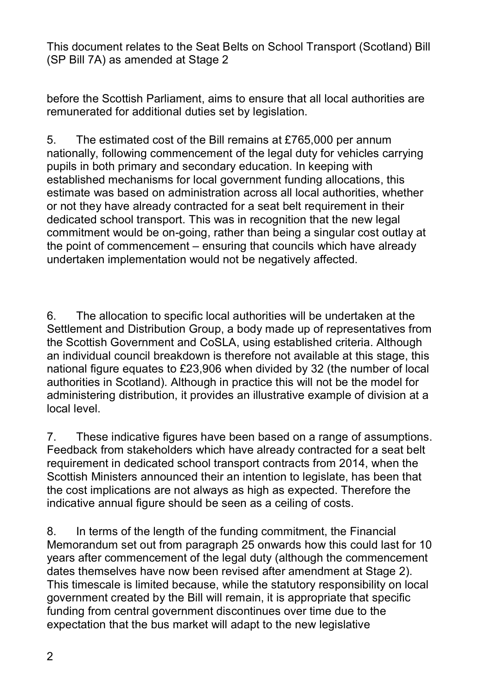before the Scottish Parliament, aims to ensure that all local authorities are remunerated for additional duties set by legislation.

5. The estimated cost of the Bill remains at £765,000 per annum nationally, following commencement of the legal duty for vehicles carrying pupils in both primary and secondary education. In keeping with established mechanisms for local government funding allocations, this estimate was based on administration across all local authorities, whether or not they have already contracted for a seat belt requirement in their dedicated school transport. This was in recognition that the new legal commitment would be on-going, rather than being a singular cost outlay at the point of commencement – ensuring that councils which have already undertaken implementation would not be negatively affected.

6. The allocation to specific local authorities will be undertaken at the Settlement and Distribution Group, a body made up of representatives from the Scottish Government and CoSLA, using established criteria. Although an individual council breakdown is therefore not available at this stage, this national figure equates to £23,906 when divided by 32 (the number of local authorities in Scotland). Although in practice this will not be the model for administering distribution, it provides an illustrative example of division at a local level.

7. These indicative figures have been based on a range of assumptions. Feedback from stakeholders which have already contracted for a seat belt requirement in dedicated school transport contracts from 2014, when the Scottish Ministers announced their an intention to legislate, has been that the cost implications are not always as high as expected. Therefore the indicative annual figure should be seen as a ceiling of costs.

8. In terms of the length of the funding commitment, the Financial Memorandum set out from paragraph 25 onwards how this could last for 10 years after commencement of the legal duty (although the commencement dates themselves have now been revised after amendment at Stage 2). This timescale is limited because, while the statutory responsibility on local government created by the Bill will remain, it is appropriate that specific funding from central government discontinues over time due to the expectation that the bus market will adapt to the new legislative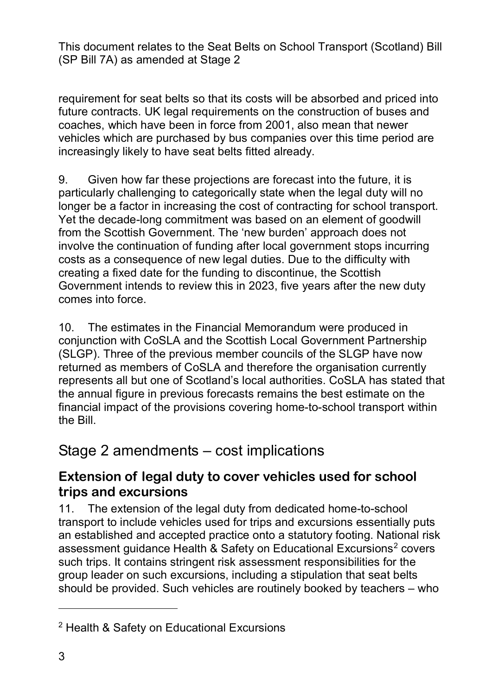requirement for seat belts so that its costs will be absorbed and priced into future contracts. UK legal requirements on the construction of buses and coaches, which have been in force from 2001, also mean that newer vehicles which are purchased by bus companies over this time period are increasingly likely to have seat belts fitted already.

9. Given how far these projections are forecast into the future, it is particularly challenging to categorically state when the legal duty will no longer be a factor in increasing the cost of contracting for school transport. Yet the decade-long commitment was based on an element of goodwill from the Scottish Government. The 'new burden' approach does not involve the continuation of funding after local government stops incurring costs as a consequence of new legal duties. Due to the difficulty with creating a fixed date for the funding to discontinue, the Scottish Government intends to review this in 2023, five years after the new duty comes into force.

10. The estimates in the Financial Memorandum were produced in conjunction with CoSLA and the Scottish Local Government Partnership (SLGP). Three of the previous member councils of the SLGP have now returned as members of CoSLA and therefore the organisation currently represents all but one of Scotland's local authorities. CoSLA has stated that the annual figure in previous forecasts remains the best estimate on the financial impact of the provisions covering home-to-school transport within the Bill.

### Stage 2 amendments – cost implications

#### **Extension of legal duty to cover vehicles used for school trips and excursions**

11. The extension of the legal duty from dedicated home-to-school transport to include vehicles used for trips and excursions essentially puts an established and accepted practice onto a statutory footing. National risk assessment quidance Health & Safety on Educational Excursions<sup>[2](#page-2-0)</sup> covers such trips. It contains stringent risk assessment responsibilities for the group leader on such excursions, including a stipulation that seat belts should be provided. Such vehicles are routinely booked by teachers – who

 $\overline{a}$ 

<span id="page-2-0"></span><sup>2</sup> [Health & Safety on Educational Excursions](http://www.gov.scot/Publications/2004/12/20444/48943)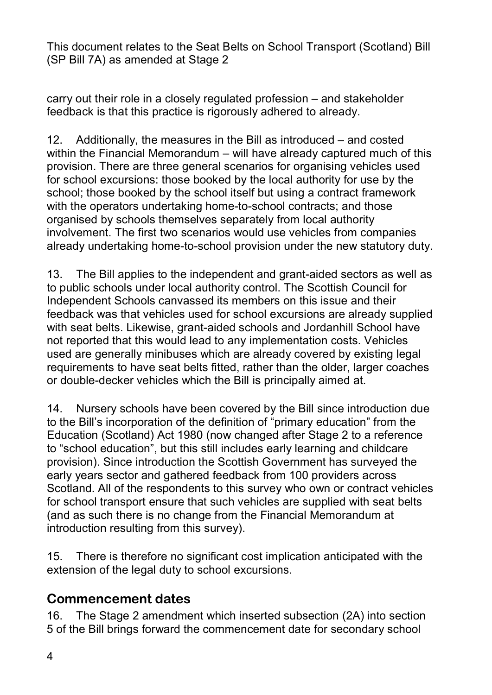carry out their role in a closely regulated profession – and stakeholder feedback is that this practice is rigorously adhered to already.

12. Additionally, the measures in the Bill as introduced – and costed within the Financial Memorandum – will have already captured much of this provision. There are three general scenarios for organising vehicles used for school excursions: those booked by the local authority for use by the school; those booked by the school itself but using a contract framework with the operators undertaking home-to-school contracts; and those organised by schools themselves separately from local authority involvement. The first two scenarios would use vehicles from companies already undertaking home-to-school provision under the new statutory duty.

13. The Bill applies to the independent and grant-aided sectors as well as to public schools under local authority control. The Scottish Council for Independent Schools canvassed its members on this issue and their feedback was that vehicles used for school excursions are already supplied with seat belts. Likewise, grant-aided schools and Jordanhill School have not reported that this would lead to any implementation costs. Vehicles used are generally minibuses which are already covered by existing legal requirements to have seat belts fitted, rather than the older, larger coaches or double-decker vehicles which the Bill is principally aimed at.

14. Nursery schools have been covered by the Bill since introduction due to the Bill's incorporation of the definition of "primary education" from the Education (Scotland) Act 1980 (now changed after Stage 2 to a reference to "school education", but this still includes early learning and childcare provision). Since introduction the Scottish Government has surveyed the early years sector and gathered feedback from 100 providers across Scotland. All of the respondents to this survey who own or contract vehicles for school transport ensure that such vehicles are supplied with seat belts (and as such there is no change from the Financial Memorandum at introduction resulting from this survey).

15. There is therefore no significant cost implication anticipated with the extension of the legal duty to school excursions.

#### **Commencement dates**

16. The Stage 2 amendment which inserted subsection (2A) into section 5 of the Bill brings forward the commencement date for secondary school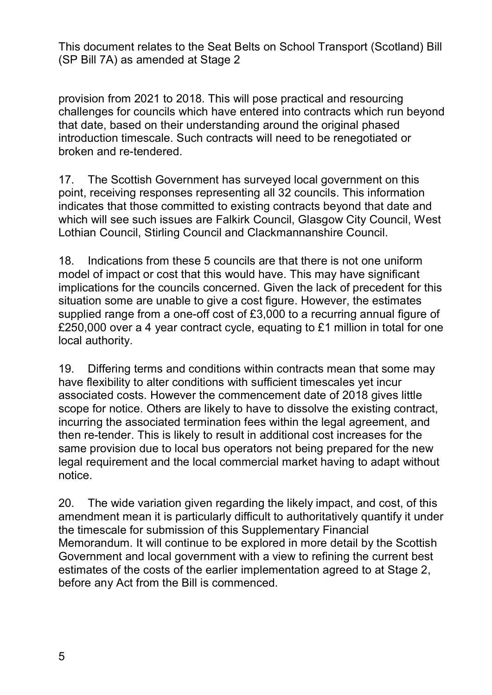provision from 2021 to 2018. This will pose practical and resourcing challenges for councils which have entered into contracts which run beyond that date, based on their understanding around the original phased introduction timescale. Such contracts will need to be renegotiated or broken and re-tendered.

17. The Scottish Government has surveyed local government on this point, receiving responses representing all 32 councils. This information indicates that those committed to existing contracts beyond that date and which will see such issues are Falkirk Council, Glasgow City Council, West Lothian Council, Stirling Council and Clackmannanshire Council.

18. Indications from these 5 councils are that there is not one uniform model of impact or cost that this would have. This may have significant implications for the councils concerned. Given the lack of precedent for this situation some are unable to give a cost figure. However, the estimates supplied range from a one-off cost of £3,000 to a recurring annual figure of £250,000 over a 4 year contract cycle, equating to £1 million in total for one local authority.

19. Differing terms and conditions within contracts mean that some may have flexibility to alter conditions with sufficient timescales yet incur associated costs. However the commencement date of 2018 gives little scope for notice. Others are likely to have to dissolve the existing contract, incurring the associated termination fees within the legal agreement, and then re-tender. This is likely to result in additional cost increases for the same provision due to local bus operators not being prepared for the new legal requirement and the local commercial market having to adapt without notice.

20. The wide variation given regarding the likely impact, and cost, of this amendment mean it is particularly difficult to authoritatively quantify it under the timescale for submission of this Supplementary Financial Memorandum. It will continue to be explored in more detail by the Scottish Government and local government with a view to refining the current best estimates of the costs of the earlier implementation agreed to at Stage 2, before any Act from the Bill is commenced.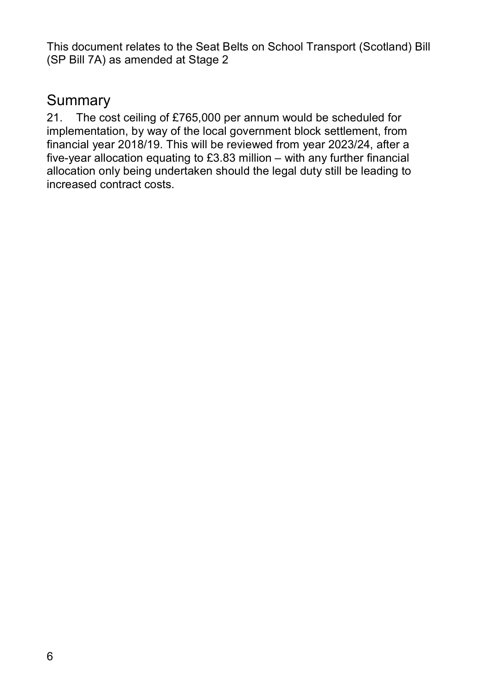### **Summary**

21. The cost ceiling of £765,000 per annum would be scheduled for implementation, by way of the local government block settlement, from financial year 2018/19. This will be reviewed from year 2023/24, after a five-year allocation equating to £3.83 million – with any further financial allocation only being undertaken should the legal duty still be leading to increased contract costs.